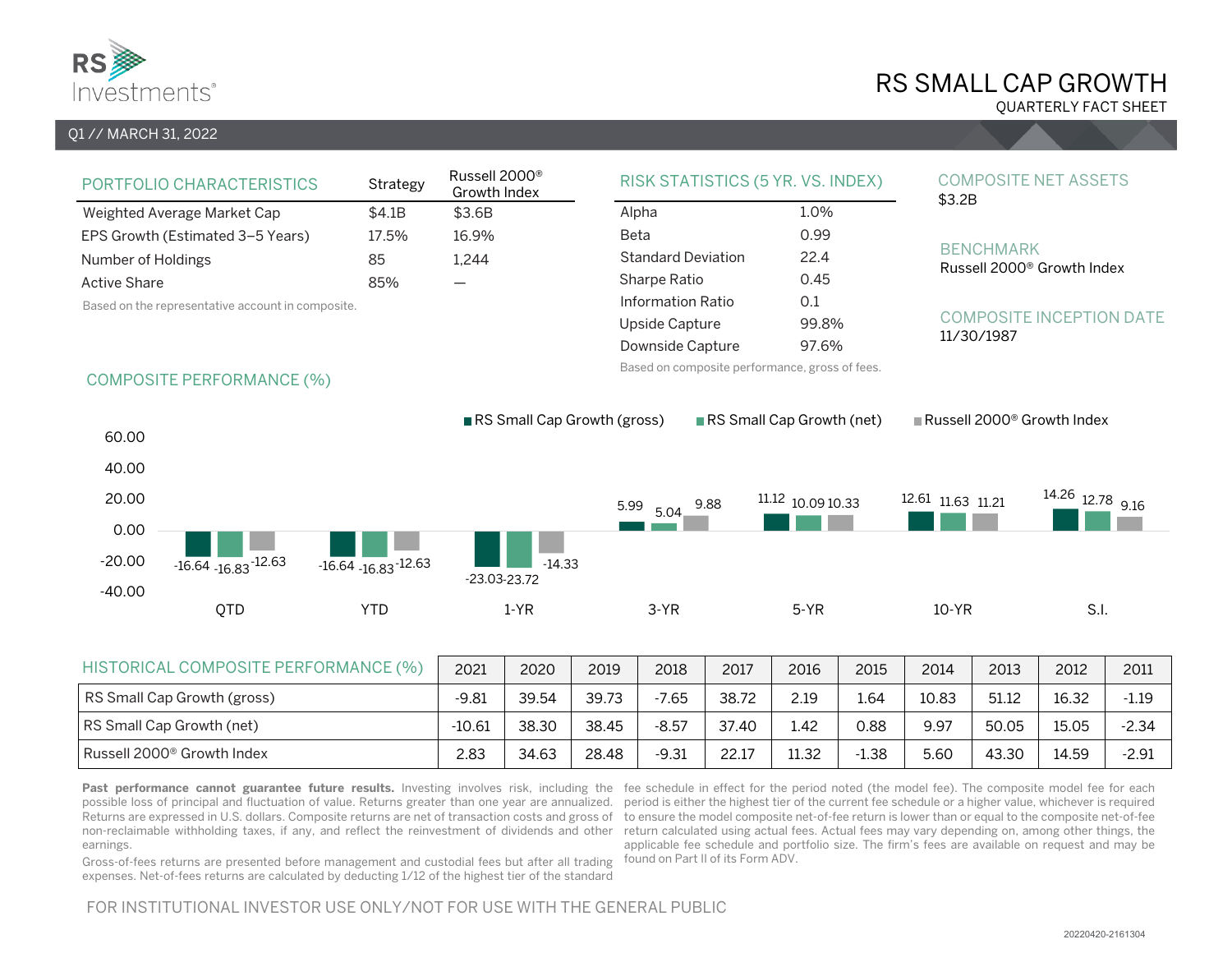

# RS SMALL CAP GROWTH

QUARTERLY FACT SHEET

### Q1 // MARCH 31, 2022

| PORTFOLIO CHARACTERISTICS                         | Strategy | Russell 2000 <sup>®</sup><br>Growth Index |
|---------------------------------------------------|----------|-------------------------------------------|
| Weighted Average Market Cap                       | \$4.1B   | \$3.6B                                    |
| EPS Growth (Estimated 3-5 Years)                  | 17.5%    | 16.9%                                     |
| Number of Holdings                                | 85       | 1.244                                     |
| <b>Active Share</b>                               | 85%      |                                           |
| Based on the representative account in composite. |          |                                           |

| RISK STATISTICS (5 YR. VS. INDEX) |       |
|-----------------------------------|-------|
| Alpha                             | 1.0%  |
| Beta                              | 0.99  |
| <b>Standard Deviation</b>         | 22.4  |
| Sharpe Ratio                      | 0.45  |
| Information Ratio                 | 0.1   |
| Upside Capture                    | 99.8% |
| Downside Capture                  | 97.6% |

Based on composite performance, gross of fees.

#### COMPOSITE NET ASSETS \$3.2B

#### BENCHMARK

Russell 2000® Growth Index

#### COMPOSITE INCEPTION DATE 11/30/1987

## COMPOSITE PERFORMANCE (%)



| HISTORICAL COMPOSITE PERFORMANCE (%) | 2021     | 2020  | 2019  | 2018    | 2017  | 2016  | 2015    | 2014  | 2013  | 2012  | 2011    |
|--------------------------------------|----------|-------|-------|---------|-------|-------|---------|-------|-------|-------|---------|
| RS Small Cap Growth (gross)          | $-9.81$  | 39.54 | 39.73 | $-7.65$ | 38.72 | 2.19  | 1.64    | 10.83 | 51.12 | 16.32 | $-1.19$ |
| RS Small Cap Growth (net)            | $-10.61$ | 38.30 | 38.45 | $-8.57$ | 37.40 | 1.42  | 0.88    | 9.97  | 50.05 | 15.05 | $-2.34$ |
| Russell 2000® Growth Index           | 2.83     | 34.63 | 28.48 | $-9.31$ | 22.17 | 11.32 | $-1.38$ | 5.60  | 43.30 | 14.59 | $-2.91$ |

earnings.

Past performance cannot guarantee future results. Investing involves risk, including the fee schedule in effect for the period noted (the model fee). The composite model fee for each possible loss of principal and fluctuation of value. Returns greater than one year are annualized. period is either the highest tier of the current fee schedule or a higher value, whichever is required Returns are expressed in U.S. dollars. Composite returns are net of transaction costs and gross of to ensure the model composite net-of-fee return is lower than or equal to the composite net-of-fee non-reclaimable withholding taxes, if any, and reflect the reinvestment of dividends and other return calculated using actual fees. Actual fees may vary depending on, among other things, the applicable fee schedule and portfolio size. The firm's fees are available on request and may be found on Part II of its Form ADV.

Gross-of-fees returns are presented before management and custodial fees but after all trading expenses. Net-of-fees returns are calculated by deducting 1/12 of the highest tier of the standard